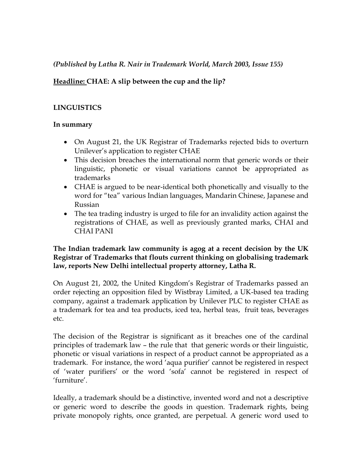### *(Published by Latha R. Nair in Trademark World, March 2003, Issue 155)*

# **Headline: CHAE: A slip between the cup and the lip?**

# **LINGUISTICS**

### **In summary**

- On August 21, the UK Registrar of Trademarks rejected bids to overturn Unilever's application to register CHAE
- This decision breaches the international norm that generic words or their linguistic, phonetic or visual variations cannot be appropriated as trademarks
- CHAE is argued to be near-identical both phonetically and visually to the word for "tea" various Indian languages, Mandarin Chinese, Japanese and Russian
- The tea trading industry is urged to file for an invalidity action against the registrations of CHAE, as well as previously granted marks, CHAI and CHAI PANI

### **The Indian trademark law community is agog at a recent decision by the UK Registrar of Trademarks that flouts current thinking on globalising trademark law, reports New Delhi intellectual property attorney, Latha R.**

On August 21, 2002, the United Kingdom's Registrar of Trademarks passed an order rejecting an opposition filed by Wistbray Limited, a UK-based tea trading company, against a trademark application by Unilever PLC to register CHAE as a trademark for tea and tea products, iced tea, herbal teas, fruit teas, beverages etc.

The decision of the Registrar is significant as it breaches one of the cardinal principles of trademark law – the rule that that generic words or their linguistic, phonetic or visual variations in respect of a product cannot be appropriated as a trademark. For instance, the word 'aqua purifier' cannot be registered in respect of 'water purifiers' or the word 'sofa' cannot be registered in respect of 'furniture'.

Ideally, a trademark should be a distinctive, invented word and not a descriptive or generic word to describe the goods in question. Trademark rights, being private monopoly rights, once granted, are perpetual. A generic word used to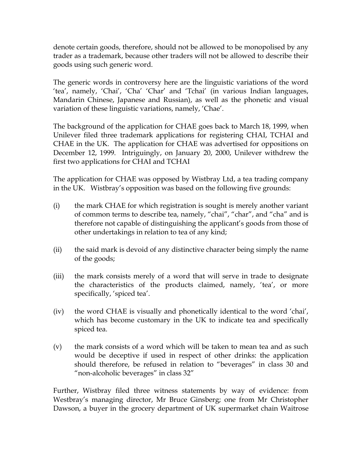denote certain goods, therefore, should not be allowed to be monopolised by any trader as a trademark, because other traders will not be allowed to describe their goods using such generic word.

The generic words in controversy here are the linguistic variations of the word 'tea', namely, 'Chai', 'Cha' 'Char' and 'Tchai' (in various Indian languages, Mandarin Chinese, Japanese and Russian), as well as the phonetic and visual variation of these linguistic variations, namely, 'Chae'.

The background of the application for CHAE goes back to March 18, 1999, when Unilever filed three trademark applications for registering CHAI, TCHAI and CHAE in the UK. The application for CHAE was advertised for oppositions on December 12, 1999. Intriguingly, on January 20, 2000, Unilever withdrew the first two applications for CHAI and TCHAI

The application for CHAE was opposed by Wistbray Ltd, a tea trading company in the UK. Wistbray's opposition was based on the following five grounds:

- (i) the mark CHAE for which registration is sought is merely another variant of common terms to describe tea, namely, "chai", "char", and "cha" and is therefore not capable of distinguishing the applicant's goods from those of other undertakings in relation to tea of any kind;
- (ii) the said mark is devoid of any distinctive character being simply the name of the goods;
- (iii) the mark consists merely of a word that will serve in trade to designate the characteristics of the products claimed, namely, 'tea', or more specifically, 'spiced tea'.
- (iv) the word CHAE is visually and phonetically identical to the word 'chai', which has become customary in the UK to indicate tea and specifically spiced tea.
- (v) the mark consists of a word which will be taken to mean tea and as such would be deceptive if used in respect of other drinks: the application should therefore, be refused in relation to "beverages" in class 30 and "non-alcoholic beverages" in class 32"

Further, Wistbray filed three witness statements by way of evidence: from Westbray's managing director, Mr Bruce Ginsberg; one from Mr Christopher Dawson, a buyer in the grocery department of UK supermarket chain Waitrose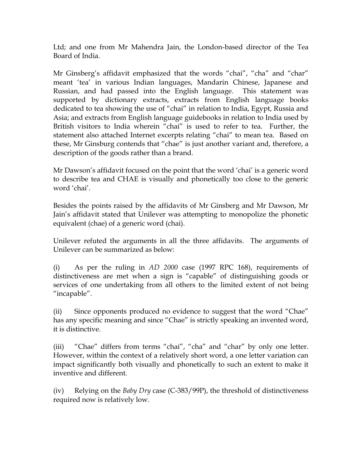Ltd; and one from Mr Mahendra Jain, the London-based director of the Tea Board of India.

Mr Ginsberg's affidavit emphasized that the words "chai", "cha" and "char" meant 'tea' in various Indian languages, Mandarin Chinese, Japanese and Russian, and had passed into the English language. This statement was supported by dictionary extracts, extracts from English language books dedicated to tea showing the use of "chai" in relation to India, Egypt, Russia and Asia; and extracts from English language guidebooks in relation to India used by British visitors to India wherein "chai" is used to refer to tea. Further, the statement also attached Internet excerpts relating "chai" to mean tea. Based on these, Mr Ginsburg contends that "chae" is just another variant and, therefore, a description of the goods rather than a brand.

Mr Dawson's affidavit focused on the point that the word 'chai' is a generic word to describe tea and CHAE is visually and phonetically too close to the generic word 'chai'.

Besides the points raised by the affidavits of Mr Ginsberg and Mr Dawson, Mr Jain's affidavit stated that Unilever was attempting to monopolize the phonetic equivalent (chae) of a generic word (chai).

Unilever refuted the arguments in all the three affidavits. The arguments of Unilever can be summarized as below:

(i) As per the ruling in *AD 2000* case (1997 RPC 168), requirements of distinctiveness are met when a sign is "capable" of distinguishing goods or services of one undertaking from all others to the limited extent of not being "incapable".

(ii) Since opponents produced no evidence to suggest that the word "Chae" has any specific meaning and since "Chae" is strictly speaking an invented word, it is distinctive.

(iii) "Chae" differs from terms "chai", "cha" and "char" by only one letter. However, within the context of a relatively short word, a one letter variation can impact significantly both visually and phonetically to such an extent to make it inventive and different.

(iv) Relying on the *Baby Dry* case (C-383/99P), the threshold of distinctiveness required now is relatively low.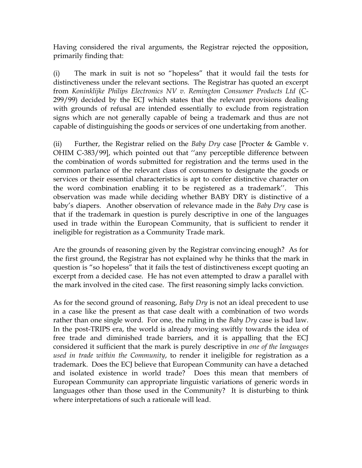Having considered the rival arguments, the Registrar rejected the opposition, primarily finding that:

(i) The mark in suit is not so "hopeless" that it would fail the tests for distinctiveness under the relevant sections. The Registrar has quoted an excerpt from *Koninklijke Philips Electronics NV v. Remington Consumer Products Ltd* (C-299/99) decided by the ECJ which states that the relevant provisions dealing with grounds of refusal are intended essentially to exclude from registration signs which are not generally capable of being a trademark and thus are not capable of distinguishing the goods or services of one undertaking from another.

(ii) Further, the Registrar relied on the *Baby Dry* case [Procter & Gamble v. OHIM C-383/99], which pointed out that ''any perceptible difference between the combination of words submitted for registration and the terms used in the common parlance of the relevant class of consumers to designate the goods or services or their essential characteristics is apt to confer distinctive character on the word combination enabling it to be registered as a trademark''. This observation was made while deciding whether BABY DRY is distinctive of a baby's diapers. Another observation of relevance made in the *Baby Dry* case is that if the trademark in question is purely descriptive in one of the languages used in trade within the European Community, that is sufficient to render it ineligible for registration as a Community Trade mark.

Are the grounds of reasoning given by the Registrar convincing enough? As for the first ground, the Registrar has not explained why he thinks that the mark in question is "so hopeless" that it fails the test of distinctiveness except quoting an excerpt from a decided case. He has not even attempted to draw a parallel with the mark involved in the cited case. The first reasoning simply lacks conviction.

As for the second ground of reasoning, *Baby Dry* is not an ideal precedent to use in a case like the present as that case dealt with a combination of two words rather than one single word. For one, the ruling in the *Baby Dry* case is bad law. In the post-TRIPS era, the world is already moving swiftly towards the idea of free trade and diminished trade barriers, and it is appalling that the ECJ considered it sufficient that the mark is purely descriptive in *one of the languages used in trade within the Community*, to render it ineligible for registration as a trademark. Does the ECJ believe that European Community can have a detached and isolated existence in world trade? Does this mean that members of European Community can appropriate linguistic variations of generic words in languages other than those used in the Community? It is disturbing to think where interpretations of such a rationale will lead.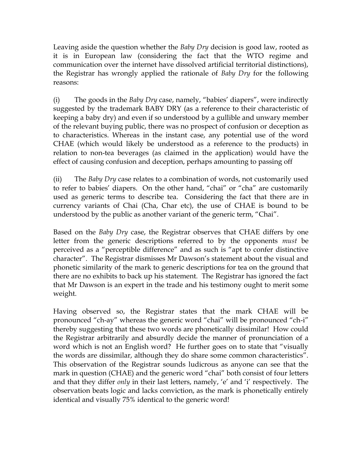Leaving aside the question whether the *Baby Dry* decision is good law, rooted as it is in European law (considering the fact that the WTO regime and communication over the internet have dissolved artificial territorial distinctions), the Registrar has wrongly applied the rationale of *Baby Dry* for the following reasons:

(i) The goods in the *Baby Dry* case, namely, "babies' diapers", were indirectly suggested by the trademark BABY DRY (as a reference to their characteristic of keeping a baby dry) and even if so understood by a gullible and unwary member of the relevant buying public, there was no prospect of confusion or deception as to characteristics. Whereas in the instant case, any potential use of the word CHAE (which would likely be understood as a reference to the products) in relation to non-tea beverages (as claimed in the application) would have the effect of causing confusion and deception, perhaps amounting to passing off

(ii) The *Baby Dry* case relates to a combination of words, not customarily used to refer to babies' diapers. On the other hand, "chai" or "cha" are customarily used as generic terms to describe tea. Considering the fact that there are in currency variants of Chai (Cha, Char etc), the use of CHAE is bound to be understood by the public as another variant of the generic term, "Chai".

Based on the *Baby Dry* case, the Registrar observes that CHAE differs by one letter from the generic descriptions referred to by the opponents *must* be perceived as a "perceptible difference" and as such is "apt to confer distinctive character". The Registrar dismisses Mr Dawson's statement about the visual and phonetic similarity of the mark to generic descriptions for tea on the ground that there are no exhibits to back up his statement. The Registrar has ignored the fact that Mr Dawson is an expert in the trade and his testimony ought to merit some weight.

Having observed so, the Registrar states that the mark CHAE will be pronounced "ch-ay" whereas the generic word "chai" will be pronounced "ch-i" thereby suggesting that these two words are phonetically dissimilar! How could the Registrar arbitrarily and absurdly decide the manner of pronunciation of a word which is not an English word? He further goes on to state that "visually the words are dissimilar, although they do share some common characteristics". This observation of the Registrar sounds ludicrous as anyone can see that the mark in question (CHAE) and the generic word "chai" both consist of four letters and that they differ *only* in their last letters, namely, 'e' and 'i' respectively. The observation beats logic and lacks conviction, as the mark is phonetically entirely identical and visually 75% identical to the generic word!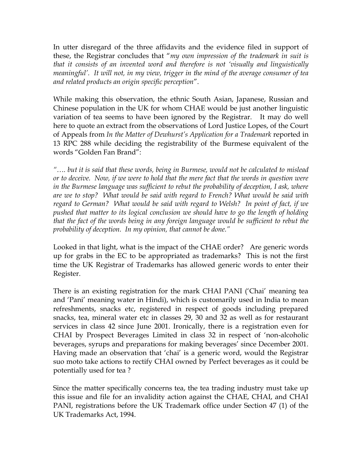In utter disregard of the three affidavits and the evidence filed in support of these, the Registrar concludes that "*my own impression of the trademark in suit is that it consists of an invented word and therefore is not 'visually and linguistically meaningful'. It will not, in my view, trigger in the mind of the average consumer of tea and related products an origin specific perception*".

While making this observation, the ethnic South Asian, Japanese, Russian and Chinese population in the UK for whom CHAE would be just another linguistic variation of tea seems to have been ignored by the Registrar. It may do well here to quote an extract from the observations of Lord Justice Lopes, of the Court of Appeals from *In the Matter of Dewhurst's Application for a Trademark* reported in 13 RPC 288 while deciding the registrability of the Burmese equivalent of the words "Golden Fan Brand":

*"…. but it is said that these words, being in Burmese, would not be calculated to mislead or to deceive. Now, if we were to hold that the mere fact that the words in question were in the Burmese language was sufficient to rebut the probability of deception, I ask, where are we to stop? What would be said with regard to French? What would be said with regard to German? What would be said with regard to Welsh? In point of fact, if we pushed that matter to its logical conclusion we should have to go the length of holding that the fact of the words being in any foreign language would be sufficient to rebut the probability of deception. In my opinion, that cannot be done."*

Looked in that light, what is the impact of the CHAE order? Are generic words up for grabs in the EC to be appropriated as trademarks? This is not the first time the UK Registrar of Trademarks has allowed generic words to enter their Register.

There is an existing registration for the mark CHAI PANI ('Chai' meaning tea and 'Pani' meaning water in Hindi), which is customarily used in India to mean refreshments, snacks etc, registered in respect of goods including prepared snacks, tea, mineral water etc in classes 29, 30 and 32 as well as for restaurant services in class 42 since June 2001. Ironically, there is a registration even for CHAI by Prospect Beverages Limited in class 32 in respect of 'non-alcoholic beverages, syrups and preparations for making beverages' since December 2001. Having made an observation that 'chai' is a generic word, would the Registrar suo moto take actions to rectify CHAI owned by Perfect beverages as it could be potentially used for tea ?

Since the matter specifically concerns tea, the tea trading industry must take up this issue and file for an invalidity action against the CHAE, CHAI, and CHAI PANI, registrations before the UK Trademark office under Section 47 (1) of the UK Trademarks Act, 1994.